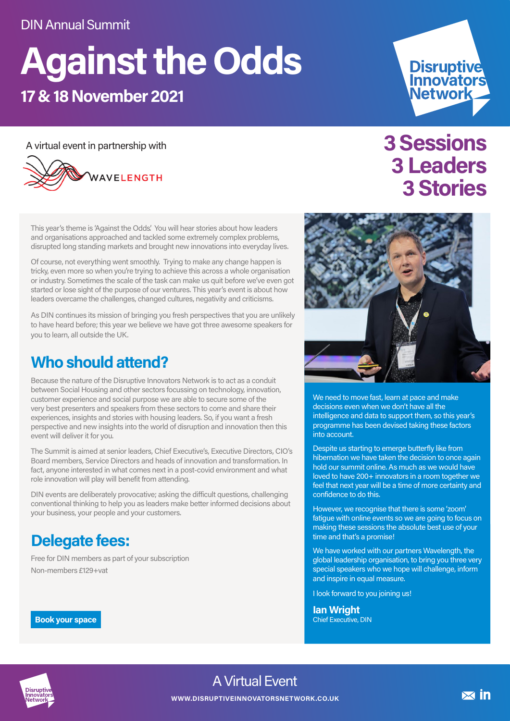# **Against the Odds 17 & 18 November 2021**

A virtual event in partnership with



This year's theme is 'Against the Odds'. You will hear stories about how leaders and organisations approached and tackled some extremely complex problems, disrupted long standing markets and brought new innovations into everyday lives.

Of course, not everything went smoothly. Trying to make any change happen is tricky, even more so when you're trying to achieve this across a whole organisation or industry. Sometimes the scale of the task can make us quit before we've even got started or lose sight of the purpose of our ventures. This year's event is about how leaders overcame the challenges, changed cultures, negativity and criticisms.

As DIN continues its mission of bringing you fresh perspectives that you are unlikely to have heard before; this year we believe we have got three awesome speakers for you to learn, all outside the UK.

# **Who should attend?**

Because the nature of the Disruptive Innovators Network is to act as a conduit between Social Housing and other sectors focussing on technology, innovation, customer experience and social purpose we are able to secure some of the very best presenters and speakers from these sectors to come and share their experiences, insights and stories with housing leaders. So, if you want a fresh perspective and new insights into the world of disruption and innovation then this event will deliver it for you.

The Summit is aimed at senior leaders, Chief Executive's, Executive Directors, CIO's Board members, Service Directors and heads of innovation and transformation. In fact, anyone interested in what comes next in a post-covid environment and what role innovation will play will benefit from attending.

DIN events are deliberately provocative; asking the difficult questions, challenging conventional thinking to help you as leaders make better informed decisions about your business, your people and your customers.

# **Delegate fees:**

Free for DIN members as part of your subscription Non-members £129+vat

**Book your space**

# **3 Sessions 3 Leaders 3 Stories**

Disruptive<br>Innovators<br>Network



We need to move fast, learn at pace and make decisions even when we don't have all the intelligence and data to support them, so this year's programme has been devised taking these factors into account.

Despite us starting to emerge butterfly like from hibernation we have taken the decision to once again hold our summit online. As much as we would have loved to have 200+ innovators in a room together we feel that next year will be a time of more certainty and confidence to do this.

However, we recognise that there is some 'zoom' fatigue with online events so we are going to focus on making these sessions the absolute best use of your time and that's a promise!

We have worked with our partners Wavelength, the global leadership organisation, to bring you three very special speakers who we hope will challenge, inform and inspire in equal measure.

I look forward to you joining us!

**Ian Wright** Chief Executive, DIN